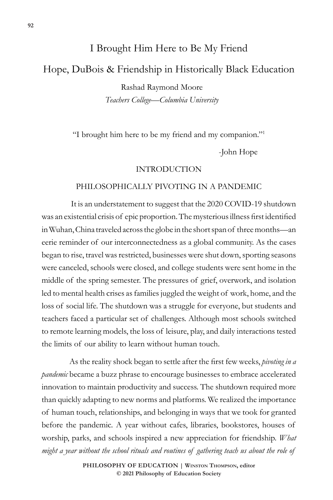# I Brought Him Here to Be My Friend Hope, DuBois & Friendship in Historically Black Education Rashad Raymond Moore

*Teachers College—Columbia University*

"I brought him here to be my friend and my companion."1

-John Hope

#### INTRODUCTION

#### PHILOSOPHICALLY PIVOTING IN A PANDEMIC

It is an understatement to suggest that the 2020 COVID-19 shutdown was an existential crisis of epic proportion. The mysterious illness first identified in Wuhan, China traveled across the globe in the short span of three months—an eerie reminder of our interconnectedness as a global community. As the cases began to rise, travel was restricted, businesses were shut down, sporting seasons were canceled, schools were closed, and college students were sent home in the middle of the spring semester. The pressures of grief, overwork, and isolation led to mental health crises as families juggled the weight of work, home, and the loss of social life. The shutdown was a struggle for everyone, but students and teachers faced a particular set of challenges. Although most schools switched to remote learning models, the loss of leisure, play, and daily interactions tested the limits of our ability to learn without human touch.

As the reality shock began to settle after the first few weeks, *pivoting in a pandemic* became a buzz phrase to encourage businesses to embrace accelerated innovation to maintain productivity and success. The shutdown required more than quickly adapting to new norms and platforms. We realized the importance of human touch, relationships, and belonging in ways that we took for granted before the pandemic. A year without cafes, libraries, bookstores, houses of worship, parks, and schools inspired a new appreciation for friendship. *What might a year without the school rituals and routines of gathering teach us about the role of*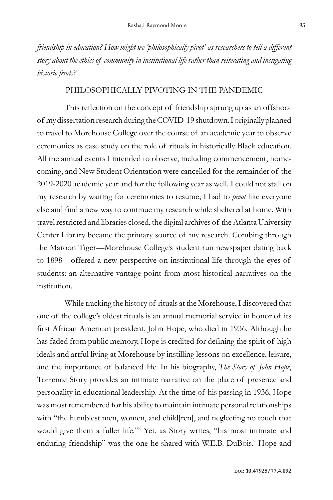*friendship in education? How might we 'philosophically pivot' as researchers to tell a different story about the ethics of community in institutional life rather than reiterating and instigating historic feuds?* 

#### PHILOSOPHICALLY PIVOTING IN THE PANDEMIC

This reflection on the concept of friendship sprung up as an offshoot of my dissertation research during the COVID-19 shutdown. I originally planned to travel to Morehouse College over the course of an academic year to observe ceremonies as case study on the role of rituals in historically Black education. All the annual events I intended to observe, including commencement, homecoming, and New Student Orientation were cancelled for the remainder of the 2019-2020 academic year and for the following year as well. I could not stall on my research by waiting for ceremonies to resume; I had to *pivot* like everyone else and find a new way to continue my research while sheltered at home. With travel restricted and libraries closed, the digital archives of the Atlanta University Center Library became the primary source of my research. Combing through the Maroon Tiger—Morehouse College's student run newspaper dating back to 1898—offered a new perspective on institutional life through the eyes of students: an alternative vantage point from most historical narratives on the institution.

While tracking the history of rituals at the Morehouse, I discovered that one of the college's oldest rituals is an annual memorial service in honor of its first African American president, John Hope, who died in 1936. Although he has faded from public memory, Hope is credited for defining the spirit of high ideals and artful living at Morehouse by instilling lessons on excellence, leisure, and the importance of balanced life. In his biography, *The Story of John Hope*, Torrence Story provides an intimate narrative on the place of presence and personality in educational leadership. At the time of his passing in 1936, Hope was most remembered for his ability to maintain intimate personal relationships with "the humblest men, women, and child[ren], and neglecting no touch that would give them a fuller life."2 Yet, as Story writes, "his most intimate and enduring friendship" was the one he shared with W.E.B. DuBois.<sup>3</sup> Hope and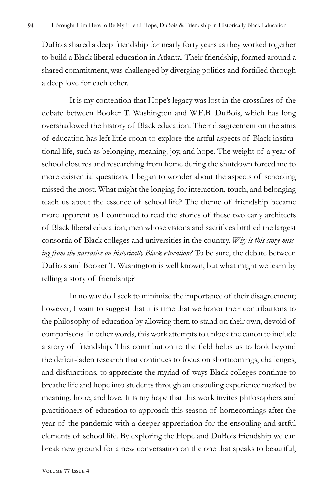DuBois shared a deep friendship for nearly forty years as they worked together to build a Black liberal education in Atlanta. Their friendship, formed around a shared commitment, was challenged by diverging politics and fortified through a deep love for each other.

It is my contention that Hope's legacy was lost in the crossfires of the debate between Booker T. Washington and W.E.B. DuBois, which has long overshadowed the history of Black education. Their disagreement on the aims of education has left little room to explore the artful aspects of Black institutional life, such as belonging, meaning, joy, and hope. The weight of a year of school closures and researching from home during the shutdown forced me to more existential questions. I began to wonder about the aspects of schooling missed the most. What might the longing for interaction, touch, and belonging teach us about the essence of school life? The theme of friendship became more apparent as I continued to read the stories of these two early architects of Black liberal education; men whose visions and sacrifices birthed the largest consortia of Black colleges and universities in the country. *Why is this story missing from the narrative on historically Black education?* To be sure, the debate between DuBois and Booker T. Washington is well known, but what might we learn by telling a story of friendship?

In no way do I seek to minimize the importance of their disagreement; however, I want to suggest that it is time that we honor their contributions to the philosophy of education by allowing them to stand on their own, devoid of comparisons. In other words, this work attempts to unlock the canon to include a story of friendship. This contribution to the field helps us to look beyond the deficit-laden research that continues to focus on shortcomings, challenges, and disfunctions, to appreciate the myriad of ways Black colleges continue to breathe life and hope into students through an ensouling experience marked by meaning, hope, and love. It is my hope that this work invites philosophers and practitioners of education to approach this season of homecomings after the year of the pandemic with a deeper appreciation for the ensouling and artful elements of school life. By exploring the Hope and DuBois friendship we can break new ground for a new conversation on the one that speaks to beautiful,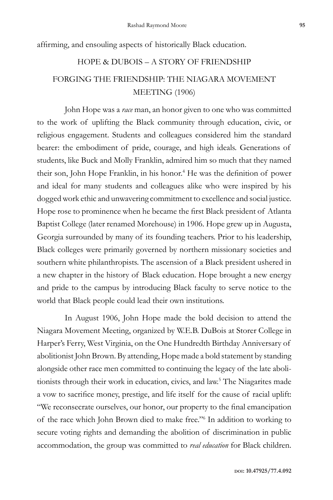affirming, and ensouling aspects of historically Black education.

## HOPE & DUBOIS – A STORY OF FRIENDSHIP FORGING THE FRIENDSHIP: THE NIAGARA MOVEMENT MEETING (1906)

John Hope was a *race* man, an honor given to one who was committed to the work of uplifting the Black community through education, civic, or religious engagement. Students and colleagues considered him the standard bearer: the embodiment of pride, courage, and high ideals. Generations of students, like Buck and Molly Franklin, admired him so much that they named their son, John Hope Franklin, in his honor.<sup>4</sup> He was the definition of power and ideal for many students and colleagues alike who were inspired by his dogged work ethic and unwavering commitment to excellence and social justice. Hope rose to prominence when he became the first Black president of Atlanta Baptist College (later renamed Morehouse) in 1906. Hope grew up in Augusta, Georgia surrounded by many of its founding teachers. Prior to his leadership, Black colleges were primarily governed by northern missionary societies and southern white philanthropists. The ascension of a Black president ushered in a new chapter in the history of Black education. Hope brought a new energy and pride to the campus by introducing Black faculty to serve notice to the world that Black people could lead their own institutions.

In August 1906, John Hope made the bold decision to attend the Niagara Movement Meeting, organized by W.E.B. DuBois at Storer College in Harper's Ferry, West Virginia, on the One Hundredth Birthday Anniversary of abolitionist John Brown. By attending, Hope made a bold statement by standing alongside other race men committed to continuing the legacy of the late abolitionists through their work in education, civics, and law.<sup>5</sup> The Niagarites made a vow to sacrifice money, prestige, and life itself for the cause of racial uplift: "We reconsecrate ourselves, our honor, our property to the final emancipation of the race which John Brown died to make free."<sup>6</sup> In addition to working to secure voting rights and demanding the abolition of discrimination in public accommodation, the group was committed to *real education* for Black children.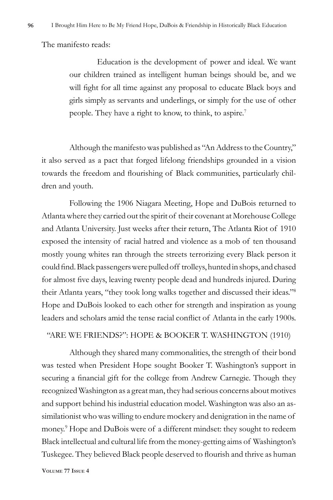The manifesto reads:

Education is the development of power and ideal. We want our children trained as intelligent human beings should be, and we will fight for all time against any proposal to educate Black boys and girls simply as servants and underlings, or simply for the use of other people. They have a right to know, to think, to aspire.<sup>7</sup>

Although the manifesto was published as "An Address to the Country," it also served as a pact that forged lifelong friendships grounded in a vision towards the freedom and flourishing of Black communities, particularly children and youth.

Following the 1906 Niagara Meeting, Hope and DuBois returned to Atlanta where they carried out the spirit of their covenant at Morehouse College and Atlanta University. Just weeks after their return, The Atlanta Riot of 1910 exposed the intensity of racial hatred and violence as a mob of ten thousand mostly young whites ran through the streets terrorizing every Black person it could find. Black passengers were pulled off trolleys, hunted in shops, and chased for almost five days, leaving twenty people dead and hundreds injured. During their Atlanta years, "they took long walks together and discussed their ideas."8 Hope and DuBois looked to each other for strength and inspiration as young leaders and scholars amid the tense racial conflict of Atlanta in the early 1900s.

#### "ARE WE FRIENDS?": HOPE & BOOKER T. WASHINGTON (1910)

Although they shared many commonalities, the strength of their bond was tested when President Hope sought Booker T. Washington's support in securing a financial gift for the college from Andrew Carnegie. Though they recognized Washington as a great man, they had serious concerns about motives and support behind his industrial education model. Washington was also an assimilationist who was willing to endure mockery and denigration in the name of money.9 Hope and DuBois were of a different mindset: they sought to redeem Black intellectual and cultural life from the money-getting aims of Washington's Tuskegee. They believed Black people deserved to flourish and thrive as human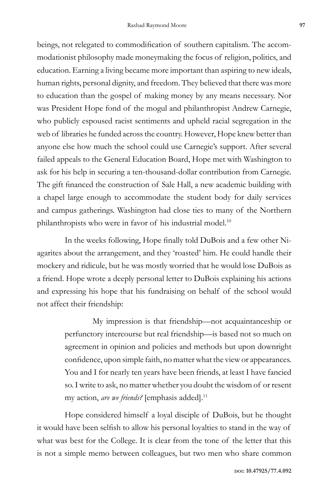beings, not relegated to commodification of southern capitalism. The accommodationist philosophy made moneymaking the focus of religion, politics, and education. Earning a living became more important than aspiring to new ideals, human rights, personal dignity, and freedom. They believed that there was more to education than the gospel of making money by any means necessary. Nor was President Hope fond of the mogul and philanthropist Andrew Carnegie, who publicly espoused racist sentiments and upheld racial segregation in the web of libraries he funded across the country. However, Hope knew better than anyone else how much the school could use Carnegie's support. After several failed appeals to the General Education Board, Hope met with Washington to ask for his help in securing a ten-thousand-dollar contribution from Carnegie. The gift financed the construction of Sale Hall, a new academic building with a chapel large enough to accommodate the student body for daily services and campus gatherings. Washington had close ties to many of the Northern philanthropists who were in favor of his industrial model.<sup>10</sup>

In the weeks following, Hope finally told DuBois and a few other Niagarites about the arrangement, and they 'roasted' him. He could handle their mockery and ridicule, but he was mostly worried that he would lose DuBois as a friend. Hope wrote a deeply personal letter to DuBois explaining his actions and expressing his hope that his fundraising on behalf of the school would not affect their friendship:

> My impression is that friendship—not acquaintanceship or perfunctory intercourse but real friendship—is based not so much on agreement in opinion and policies and methods but upon downright confidence, upon simple faith, no matter what the view or appearances. You and I for nearly ten years have been friends, at least I have fancied so. I write to ask, no matter whether you doubt the wisdom of or resent my action, *are we friends?* [emphasis added].11

Hope considered himself a loyal disciple of DuBois, but he thought it would have been selfish to allow his personal loyalties to stand in the way of what was best for the College. It is clear from the tone of the letter that this is not a simple memo between colleagues, but two men who share common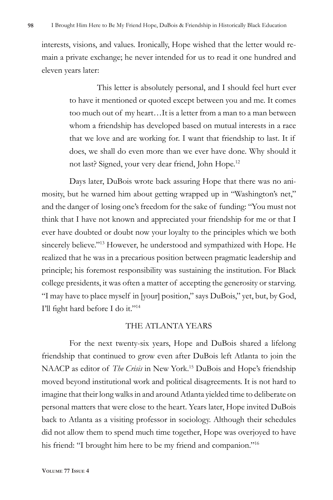interests, visions, and values. Ironically, Hope wished that the letter would remain a private exchange; he never intended for us to read it one hundred and eleven years later:

> This letter is absolutely personal, and I should feel hurt ever to have it mentioned or quoted except between you and me. It comes too much out of my heart…It is a letter from a man to a man between whom a friendship has developed based on mutual interests in a race that we love and are working for. I want that friendship to last. It if does, we shall do even more than we ever have done. Why should it not last? Signed, your very dear friend, John Hope.12

Days later, DuBois wrote back assuring Hope that there was no animosity, but he warned him about getting wrapped up in "Washington's net," and the danger of losing one's freedom for the sake of funding: "You must not think that I have not known and appreciated your friendship for me or that I ever have doubted or doubt now your loyalty to the principles which we both sincerely believe."<sup>13</sup> However, he understood and sympathized with Hope. He realized that he was in a precarious position between pragmatic leadership and principle; his foremost responsibility was sustaining the institution. For Black college presidents, it was often a matter of accepting the generosity or starving. "I may have to place myself in [your] position," says DuBois," yet, but, by God, I'll fight hard before I do it."<sup>14</sup>

#### THE ATLANTA YEARS

For the next twenty-six years, Hope and DuBois shared a lifelong friendship that continued to grow even after DuBois left Atlanta to join the NAACP as editor of *The Crisis* in New York.15 DuBois and Hope's friendship moved beyond institutional work and political disagreements. It is not hard to imagine that their long walks in and around Atlanta yielded time to deliberate on personal matters that were close to the heart. Years later, Hope invited DuBois back to Atlanta as a visiting professor in sociology. Although their schedules did not allow them to spend much time together, Hope was overjoyed to have his friend: "I brought him here to be my friend and companion."16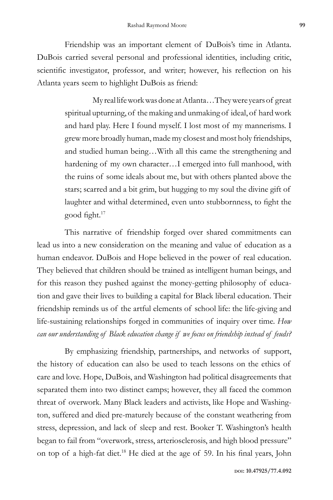Friendship was an important element of DuBois's time in Atlanta. DuBois carried several personal and professional identities, including critic, scientific investigator, professor, and writer; however, his reflection on his Atlanta years seem to highlight DuBois as friend:

> My real life work was done at Atlanta…They were years of great spiritual upturning, of the making and unmaking of ideal, of hard work and hard play. Here I found myself. I lost most of my mannerisms. I grew more broadly human, made my closest and most holy friendships, and studied human being…With all this came the strengthening and hardening of my own character…I emerged into full manhood, with the ruins of some ideals about me, but with others planted above the stars; scarred and a bit grim, but hugging to my soul the divine gift of laughter and withal determined, even unto stubbornness, to fight the good fight.<sup>17</sup>

This narrative of friendship forged over shared commitments can lead us into a new consideration on the meaning and value of education as a human endeavor. DuBois and Hope believed in the power of real education. They believed that children should be trained as intelligent human beings, and for this reason they pushed against the money-getting philosophy of education and gave their lives to building a capital for Black liberal education. Their friendship reminds us of the artful elements of school life: the life-giving and life-sustaining relationships forged in communities of inquiry over time. *How can our understanding of Black education change if we focus on friendship instead of feuds?* 

By emphasizing friendship, partnerships, and networks of support, the history of education can also be used to teach lessons on the ethics of care and love. Hope, DuBois, and Washington had political disagreements that separated them into two distinct camps; however, they all faced the common threat of overwork. Many Black leaders and activists, like Hope and Washington, suffered and died pre-maturely because of the constant weathering from stress, depression, and lack of sleep and rest. Booker T. Washington's health began to fail from "overwork, stress, arteriosclerosis, and high blood pressure" on top of a high-fat diet.18 He died at the age of 59. In his final years, John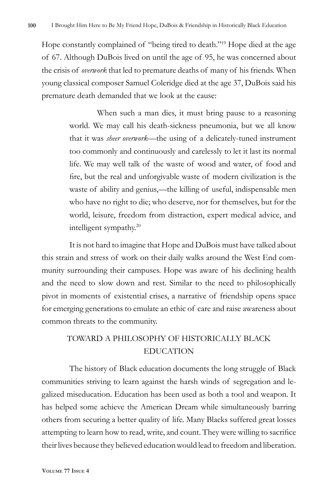Hope constantly complained of "being tired to death."19 Hope died at the age of 67. Although DuBois lived on until the age of 95, he was concerned about the crisis of *overwork* that led to premature deaths of many of his friends. When young classical composer Samuel Coleridge died at the age 37, DuBois said his premature death demanded that we look at the cause:

> When such a man dies, it must bring pause to a reasoning world. We may call his death-sickness pneumonia, but we all know that it was *sheer overwork—*the using of a delicately-tuned instrument too commonly and continuously and carelessly to let it last its normal life. We may well talk of the waste of wood and water, of food and fire, but the real and unforgivable waste of modern civilization is the waste of ability and genius,—the killing of useful, indispensable men who have no right to die; who deserve, nor for themselves, but for the world, leisure, freedom from distraction, expert medical advice, and intelligent sympathy.<sup>20</sup>

It is not hard to imagine that Hope and DuBois must have talked about this strain and stress of work on their daily walks around the West End community surrounding their campuses. Hope was aware of his declining health and the need to slow down and rest. Similar to the need to philosophically pivot in moments of existential crises, a narrative of friendship opens space for emerging generations to emulate an ethic of care and raise awareness about common threats to the community.

### TOWARD A PHILOSOPHY OF HISTORICALLY BLACK EDUCATION

The history of Black education documents the long struggle of Black communities striving to learn against the harsh winds of segregation and legalized miseducation. Education has been used as both a tool and weapon. It has helped some achieve the American Dream while simultaneously barring others from securing a better quality of life. Many Blacks suffered great losses attempting to learn how to read, write, and count. They were willing to sacrifice their lives because they believed education would lead to freedom and liberation.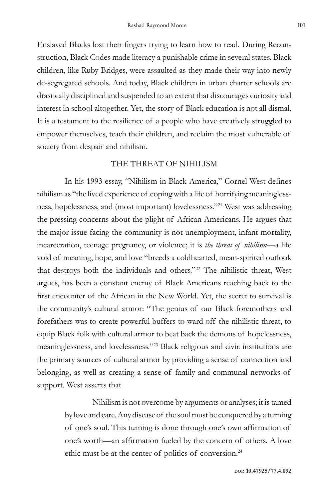Enslaved Blacks lost their fingers trying to learn how to read. During Reconstruction, Black Codes made literacy a punishable crime in several states. Black children, like Ruby Bridges, were assaulted as they made their way into newly de-segregated schools. And today, Black children in urban charter schools are drastically disciplined and suspended to an extent that discourages curiosity and interest in school altogether. Yet, the story of Black education is not all dismal. It is a testament to the resilience of a people who have creatively struggled to empower themselves, teach their children, and reclaim the most vulnerable of society from despair and nihilism.

#### THE THREAT OF NIHILISM

In his 1993 essay, "Nihilism in Black America," Cornel West defines nihilism as "the lived experience of coping with a life of horrifying meaninglessness, hopelessness, and (most important) lovelessness."21 West was addressing the pressing concerns about the plight of African Americans. He argues that the major issue facing the community is not unemployment, infant mortality, incarceration, teenage pregnancy, or violence; it is *the threat of nihilism—*a life void of meaning, hope, and love "breeds a coldhearted, mean-spirited outlook that destroys both the individuals and others."<sup>22</sup> The nihilistic threat, West argues, has been a constant enemy of Black Americans reaching back to the first encounter of the African in the New World. Yet, the secret to survival is the community's cultural armor: "The genius of our Black foremothers and forefathers was to create powerful buffers to ward off the nihilistic threat, to equip Black folk with cultural armor to beat back the demons of hopelessness, meaninglessness, and lovelessness."<sup>23</sup> Black religious and civic institutions are the primary sources of cultural armor by providing a sense of connection and belonging, as well as creating a sense of family and communal networks of support. West asserts that

> Nihilism is not overcome by arguments or analyses; it is tamed by love and care. Any disease of the soul must be conquered by a turning of one's soul. This turning is done through one's own affirmation of one's worth—an affirmation fueled by the concern of others. A love ethic must be at the center of politics of conversion.24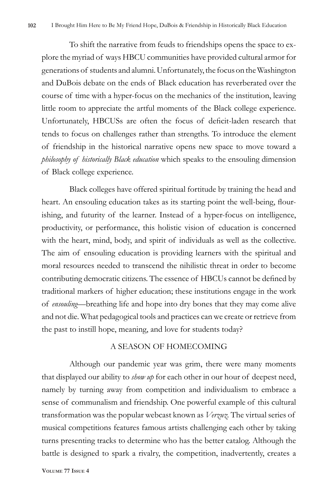To shift the narrative from feuds to friendships opens the space to explore the myriad of ways HBCU communities have provided cultural armor for generations of students and alumni. Unfortunately, the focus on the Washington and DuBois debate on the ends of Black education has reverberated over the course of time with a hyper-focus on the mechanics of the institution, leaving little room to appreciate the artful moments of the Black college experience. Unfortunately, HBCUSs are often the focus of deficit-laden research that tends to focus on challenges rather than strengths. To introduce the element of friendship in the historical narrative opens new space to move toward a *philosophy of historically Black education* which speaks to the ensouling dimension of Black college experience.

Black colleges have offered spiritual fortitude by training the head and heart. An ensouling education takes as its starting point the well-being, flourishing, and futurity of the learner. Instead of a hyper-focus on intelligence, productivity, or performance, this holistic vision of education is concerned with the heart, mind, body, and spirit of individuals as well as the collective. The aim of ensouling education is providing learners with the spiritual and moral resources needed to transcend the nihilistic threat in order to become contributing democratic citizens. The essence of HBCUs cannot be defined by traditional markers of higher education; these institutions engage in the work of *ensouling—*breathing life and hope into dry bones that they may come alive and not die. What pedagogical tools and practices can we create or retrieve from the past to instill hope, meaning, and love for students today?

#### A SEASON OF HOMECOMING

Although our pandemic year was grim, there were many moments that displayed our ability to *show up* for each other in our hour of deepest need, namely by turning away from competition and individualism to embrace a sense of communalism and friendship. One powerful example of this cultural transformation was the popular webcast known as *Verzuz.* The virtual series of musical competitions features famous artists challenging each other by taking turns presenting tracks to determine who has the better catalog. Although the battle is designed to spark a rivalry, the competition, inadvertently, creates a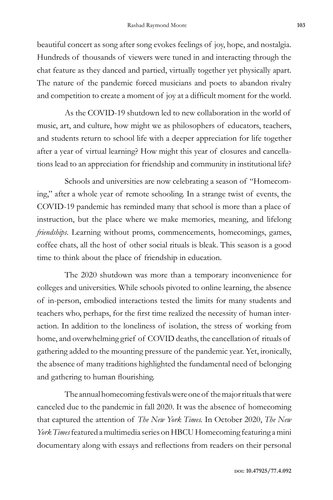beautiful concert as song after song evokes feelings of joy, hope, and nostalgia. Hundreds of thousands of viewers were tuned in and interacting through the chat feature as they danced and partied, virtually together yet physically apart. The nature of the pandemic forced musicians and poets to abandon rivalry and competition to create a moment of joy at a difficult moment for the world.

As the COVID-19 shutdown led to new collaboration in the world of music, art, and culture, how might we as philosophers of educators, teachers, and students return to school life with a deeper appreciation for life together after a year of virtual learning? How might this year of closures and cancellations lead to an appreciation for friendship and community in institutional life?

Schools and universities are now celebrating a season of "Homecoming," after a whole year of remote schooling. In a strange twist of events, the COVID-19 pandemic has reminded many that school is more than a place of instruction, but the place where we make memories, meaning, and lifelong *friendships*. Learning without proms, commencements, homecomings, games, coffee chats, all the host of other social rituals is bleak. This season is a good time to think about the place of friendship in education.

The 2020 shutdown was more than a temporary inconvenience for colleges and universities. While schools pivoted to online learning, the absence of in-person, embodied interactions tested the limits for many students and teachers who, perhaps, for the first time realized the necessity of human interaction. In addition to the loneliness of isolation, the stress of working from home, and overwhelming grief of COVID deaths, the cancellation of rituals of gathering added to the mounting pressure of the pandemic year. Yet, ironically, the absence of many traditions highlighted the fundamental need of belonging and gathering to human flourishing.

The annual homecoming festivals were one of the major rituals that were canceled due to the pandemic in fall 2020. It was the absence of homecoming that captured the attention of *The New York Times.* In October 2020, *The New York Times* featured a multimedia series on HBCU Homecoming featuring a mini documentary along with essays and reflections from readers on their personal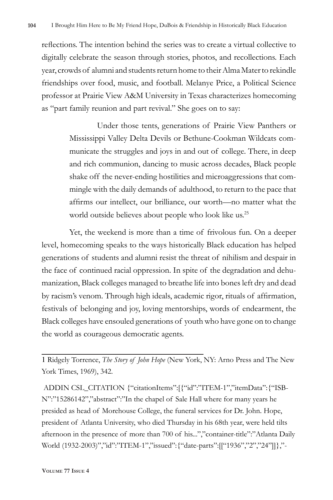reflections. The intention behind the series was to create a virtual collective to digitally celebrate the season through stories, photos, and recollections. Each year, crowds of alumni and students return home to their Alma Mater to rekindle friendships over food, music, and football. Melanye Price, a Political Science professor at Prairie View A&M University in Texas characterizes homecoming as "part family reunion and part revival." She goes on to say:

> Under those tents, generations of Prairie View Panthers or Mississippi Valley Delta Devils or Bethune-Cookman Wildcats communicate the struggles and joys in and out of college. There, in deep and rich communion, dancing to music across decades, Black people shake off the never-ending hostilities and microaggressions that commingle with the daily demands of adulthood, to return to the pace that affirms our intellect, our brilliance, our worth—no matter what the world outside believes about people who look like us.<sup>25</sup>

Yet, the weekend is more than a time of frivolous fun. On a deeper level, homecoming speaks to the ways historically Black education has helped generations of students and alumni resist the threat of nihilism and despair in the face of continued racial oppression. In spite of the degradation and dehumanization, Black colleges managed to breathe life into bones left dry and dead by racism's venom. Through high ideals, academic rigor, rituals of affirmation, festivals of belonging and joy, loving mentorships, words of endearment, the Black colleges have ensouled generations of youth who have gone on to change the world as courageous democratic agents.

1 Ridgely Torrence, *The Story of John Hope* (New York, NY: Arno Press and The New York Times, 1969), 342.

 ADDIN CSL\_CITATION {"citationItems":[{"id":"ITEM-1","itemData":{"ISB-N":"15286142","abstract":"In the chapel of Sale Hall where for many years he presided as head of Morehouse College, the funeral services for Dr. John. Hope, president of Atlanta University, who died Thursday in his 68th year, were held tilts afternoon in the presence of more than 700 of his...","container-title":"Atlanta Daily World (1932-2003)","id":"ITEM-1","issued":{"date-parts":[["1936","2","24"]]},"-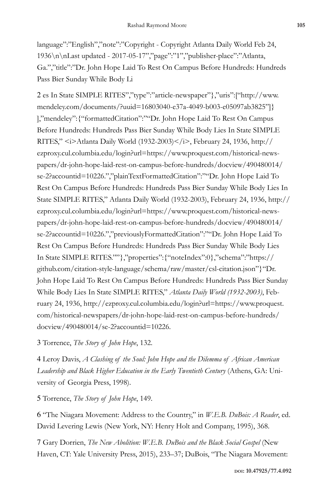language":"English","note":"Copyright - Copyright Atlanta Daily World Feb 24, 1936\n\nLast updated - 2017-05-17","page":"1","publisher-place":"Atlanta, Ga.","title":"Dr. John Hope Laid To Rest On Campus Before Hundreds: Hundreds Pass Bier Sunday While Body Li

2 es In State SIMPLE RITES","type":"article-newspaper"},"uris":["http://www. mendeley.com/documents/?uuid=16803040-e37a-4049-b003-e05097ab3825"]} ],"mendeley":{"formattedCitation":""Dr. John Hope Laid To Rest On Campus Before Hundreds: Hundreds Pass Bier Sunday While Body Lies In State SIMPLE RITES," <i>Atlanta Daily World (1932-2003)</i>, February 24, 1936, http:// ezproxy.cul.columbia.edu/login?url=https://www.proquest.com/historical-newspapers/dr-john-hope-laid-rest-on-campus-before-hundreds/docview/490480014/ se-2?accountid=10226.","plainTextFormattedCitation":""Dr. John Hope Laid To Rest On Campus Before Hundreds: Hundreds Pass Bier Sunday While Body Lies In State SIMPLE RITES," Atlanta Daily World (1932-2003), February 24, 1936, http:// ezproxy.cul.columbia.edu/login?url=https://www.proquest.com/historical-newspapers/dr-john-hope-laid-rest-on-campus-before-hundreds/docview/490480014/ se-2?accountid=10226.","previouslyFormattedCitation":""Dr. John Hope Laid To Rest On Campus Before Hundreds: Hundreds Pass Bier Sunday While Body Lies In State SIMPLE RITES.""},"properties":{"noteIndex":0},"schema":"https:// github.com/citation-style-language/schema/raw/master/csl-citation.json"}"Dr. John Hope Laid To Rest On Campus Before Hundreds: Hundreds Pass Bier Sunday While Body Lies In State SIMPLE RITES," *Atlanta Daily World (1932-2003)*, February 24, 1936, http://ezproxy.cul.columbia.edu/login?url=https://www.proquest. com/historical-newspapers/dr-john-hope-laid-rest-on-campus-before-hundreds/ docview/490480014/se-2?accountid=10226.

3 Torrence, *The Story of John Hope*, 132.

4 Leroy Davis, *A Clashing of the Soul: John Hope and the Dilemma of African American Leadership and Black Higher Education in the Early Twentieth Century* (Athens, GA: University of Georgia Press, 1998).

5 Torrence, *The Story of John Hope*, 149.

6 "The Niagara Movement: Address to the Country," in *W.E.B. DuBois: A Reader*, ed. David Levering Lewis (New York, NY: Henry Holt and Company, 1995), 368.

7 Gary Dorrien, *The New Abolition: W.E.B. DuBois and the Black Social Gospel* (New Haven, CT: Yale University Press, 2015), 233–37; DuBois, "The Niagara Movement: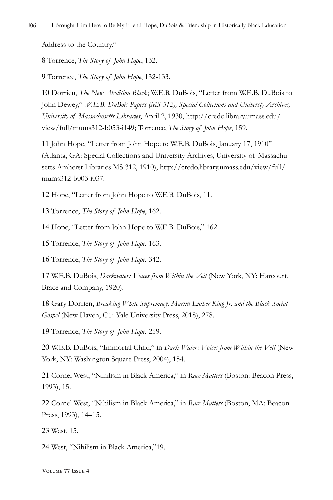Address to the Country."

8 Torrence, *The Story of John Hope*, 132.

9 Torrence, *The Story of John Hope*, 132-133.

10 Dorrien, *The New Abolition Black*; W.E.B. DuBois, "Letter from W.E.B. DuBois to John Dewey," *W.E.B. DuBois Papers (MS 312), Special Collections and Universty Archives, University of Massachusetts Libraries*, April 2, 1930, http://credo.library.umass.edu/ view/full/mums312-b053-i149; Torrence, *The Story of John Hope*, 159.

11 John Hope, "Letter from John Hope to W.E.B. DuBois, January 17, 1910" (Atlanta, GA: Special Collections and University Archives, University of Massachusetts Amherst Libraries MS 312, 1910), http://credo.library.umass.edu/view/full/ mums312-b003-i037.

12 Hope, "Letter from John Hope to W.E.B. DuBois, 11.

13 Torrence, *The Story of John Hope*, 162.

14 Hope, "Letter from John Hope to W.E.B. DuBois," 162.

15 Torrence, *The Story of John Hope*, 163.

16 Torrence, *The Story of John Hope*, 342.

17 W.E.B. DuBois, *Darkwater: Voices from Within the Veil* (New York, NY: Harcourt, Brace and Company, 1920).

18 Gary Dorrien, *Breaking White Supremacy: Martin Luther King Jr. and the Black Social Gospel* (New Haven, CT: Yale University Press, 2018), 278.

19 Torrence, *The Story of John Hope*, 259.

20 W.E.B. DuBois, "Immortal Child," in *Dark Water: Voices from Within the Veil* (New York, NY: Washington Square Press, 2004), 154.

21 Cornel West, "Nihilism in Black America," in *Race Matters* (Boston: Beacon Press, 1993), 15.

22 Cornel West, "Nihilism in Black America," in *Race Matters* (Boston, MA: Beacon Press, 1993), 14–15.

23 West, 15.

24 West, "Nihilism in Black America,"19.